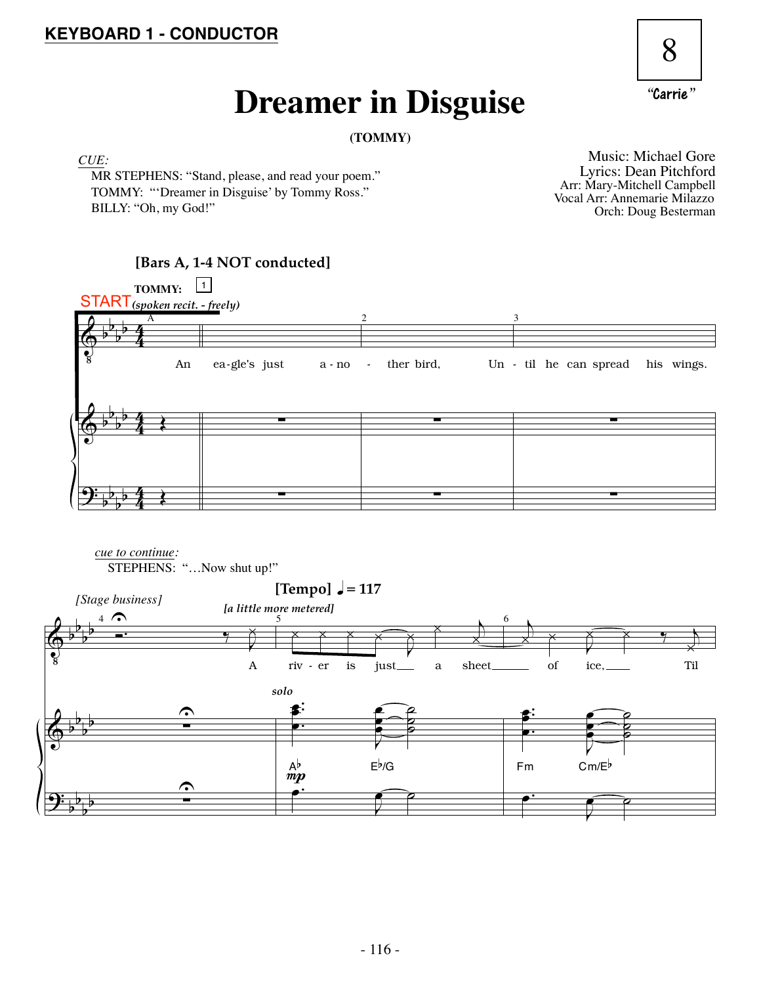## **KEYBOARD 1 - CONDUCTOR**



## **Dreamer in Disguise**

## **(TOMMY)**

*CUE:*

MR STEPHENS: "Stand, please, and read your poem." TOMMY: "'Dreamer in Disguise' by Tommy Ross." BILLY: "Oh, my God!"

Music: Michael Gore Lyrics: Dean Pitchford Arr: Mary-Mitchell Campbell Vocal Arr: Annemarie Milazzo Orch: Doug Besterman

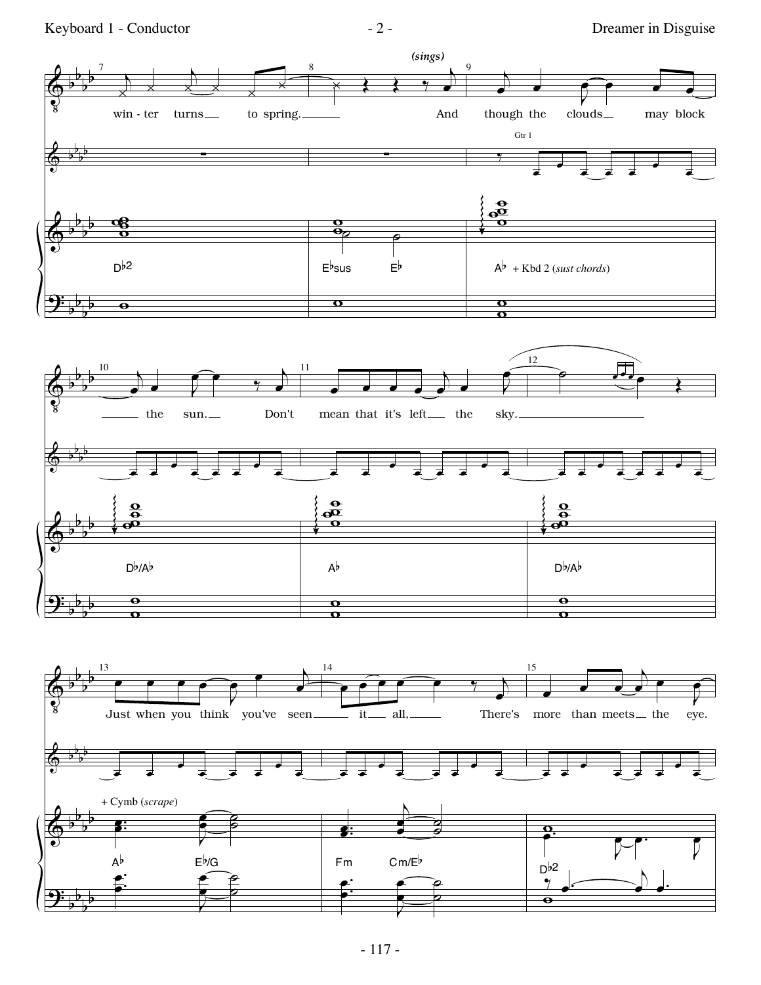Keyboard 1 - Conductor - 2 - Dreamer in Disguise

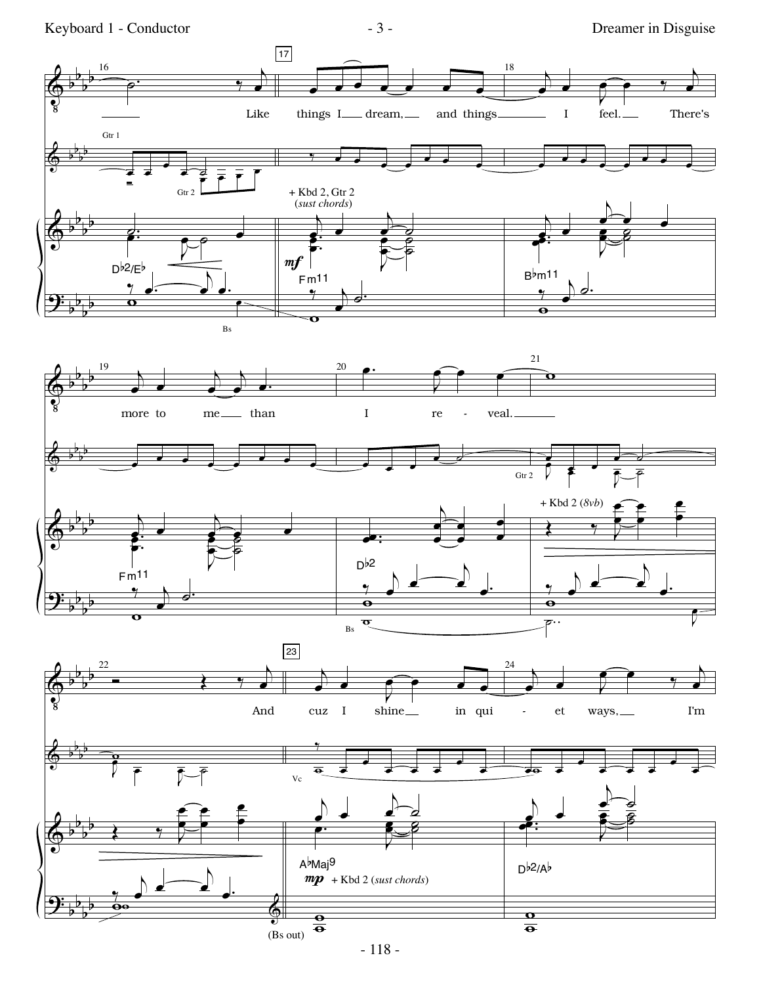Keyboard 1 - Conductor - 3 - Dreamer in Disguise

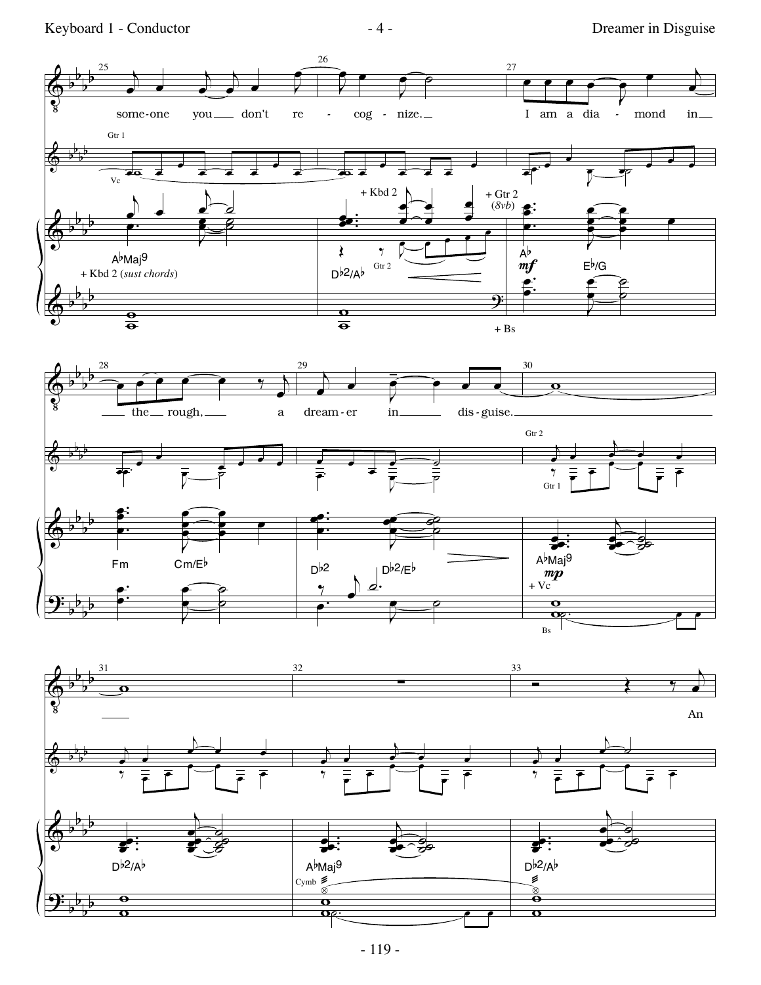Keyboard 1 - Conductor - 4 - Dreamer in Disguise